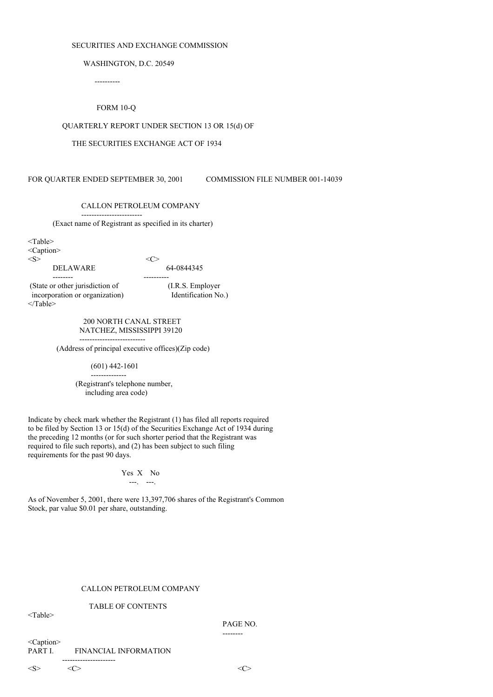### SECURITIES AND EXCHANGE COMMISSION

WASHINGTON, D.C. 20549

----------

## FORM 10-Q

## QUARTERLY REPORT UNDER SECTION 13 OR 15(d) OF

### THE SECURITIES EXCHANGE ACT OF 1934

FOR QUARTER ENDED SEPTEMBER 30, 2001 COMMISSION FILE NUMBER 001-14039

------------------------

-------- ----------

## CALLON PETROLEUM COMPANY

(Exact name of Registrant as specified in its charter)

<Table> <Caption>  $\langle S \rangle$   $\langle C \rangle$ 

DELAWARE 64-0844345

(State or other jurisdiction of (I.R.S. Employer incorporation or organization) Identification No.) </Table>

> 200 NORTH CANAL STREET NATCHEZ, MISSISSIPPI 39120

-------------------------- (Address of principal executive offices)(Zip code)

> (601) 442-1601 --------------

(Registrant's telephone number, including area code)

Indicate by check mark whether the Registrant (1) has filed all reports required to be filed by Section 13 or 15(d) of the Securities Exchange Act of 1934 during the preceding 12 months (or for such shorter period that the Registrant was required to file such reports), and (2) has been subject to such filing requirements for the past 90 days.

## Yes X No ---. ---.

As of November 5, 2001, there were 13,397,706 shares of the Registrant's Common Stock, par value \$0.01 per share, outstanding.

## CALLON PETROLEUM COMPANY

### TABLE OF CONTENTS

<Table>

PAGE NO.

--------

<Caption> PART I. FINANCIAL INFORMATION ---------------------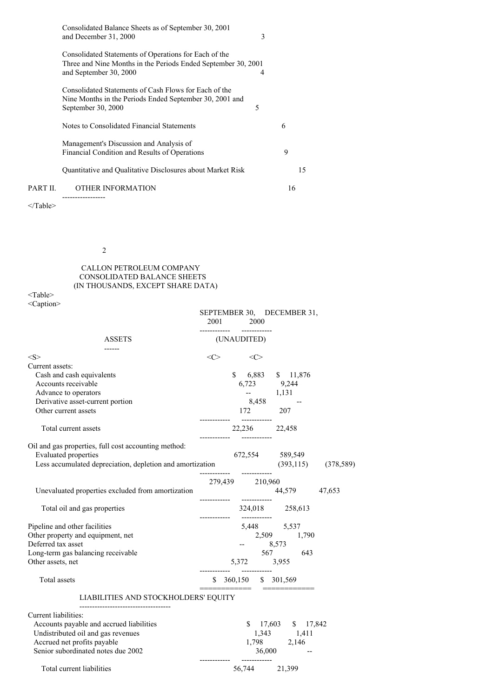|          | Consolidated Balance Sheets as of September 30, 2001<br>and December 31, 2000                                                                    | 3 |    |    |
|----------|--------------------------------------------------------------------------------------------------------------------------------------------------|---|----|----|
|          | Consolidated Statements of Operations for Each of the<br>Three and Nine Months in the Periods Ended September 30, 2001<br>and September 30, 2000 | 4 |    |    |
|          | Consolidated Statements of Cash Flows for Each of the<br>Nine Months in the Periods Ended September 30, 2001 and<br>September 30, 2000           | 5 |    |    |
|          | Notes to Consolidated Financial Statements                                                                                                       |   | 6  |    |
|          | Management's Discussion and Analysis of<br>Financial Condition and Results of Operations                                                         |   | 9  |    |
|          | Quantitative and Qualitative Disclosures about Market Risk                                                                                       |   |    | 15 |
| PART II. | <b>OTHER INFORMATION</b><br>----------------                                                                                                     |   | 16 |    |

2

## CALLON PETROLEUM COMPANY CONSOLIDATED BALANCE SHEETS (IN THOUSANDS, EXCEPT SHARE DATA)

<Table> <Caption>

|                                                                                | SEPTEMBER 30, DECEMBER 31,<br>2001 2000                    |
|--------------------------------------------------------------------------------|------------------------------------------------------------|
| <b>ASSETS</b>                                                                  | (UNAUDITED)                                                |
| ------<br><s></s>                                                              | $\langle$ C><br>$\langle$ C>                               |
| Current assets:                                                                |                                                            |
| Cash and cash equivalents                                                      | $$6,883$ $$11,876$                                         |
| Accounts receivable                                                            | 6,723 9,244                                                |
| Advance to operators                                                           |                                                            |
| Derivative asset-current portion                                               | $-$ 1,131<br>8,458 $-$                                     |
| Other current assets                                                           | 172 207                                                    |
|                                                                                |                                                            |
| Total current assets                                                           | 22,236 22,458                                              |
| Oil and gas properties, full cost accounting method:                           |                                                            |
| <b>Evaluated properties</b>                                                    | 672,554 589,549                                            |
| Less accumulated depreciation, depletion and amortization (393,115) (378,589)  |                                                            |
|                                                                                |                                                            |
| Unevaluated properties excluded from amortization                              | 279,439 210,960<br>44,579 47,653                           |
|                                                                                |                                                            |
| Total oil and gas properties                                                   | 324,018 258,613                                            |
| Pipeline and other facilities                                                  | -------------                                              |
| Other property and equipment, net                                              | $5,448$ $5,537$<br>2,509 $1,790$                           |
| Deferred tax asset                                                             | $-8,573$                                                   |
| Long-term gas balancing receivable                                             | 567 643                                                    |
| Other assets, net                                                              | 5,372 3,955                                                |
|                                                                                | ------------         ------------                          |
| Total assets                                                                   | $$360,150$ $$301,569$<br>_________________________________ |
| LIABILITIES AND STOCKHOLDERS' EQUITY                                           |                                                            |
| -----------------------------------                                            |                                                            |
| Current liabilities:                                                           |                                                            |
| Accounts payable and accrued liabilities<br>Undistributed oil and gas revenues | $$17,603$ $$17,842$<br>1,343 1,411                         |
| Accrued net profits payable                                                    | 1,798 2,146                                                |
| Senior subordinated notes due 2002                                             | $36,000$ --                                                |
|                                                                                | ------------         ------------                          |
| Total current liabilities                                                      | 56,744 21,399                                              |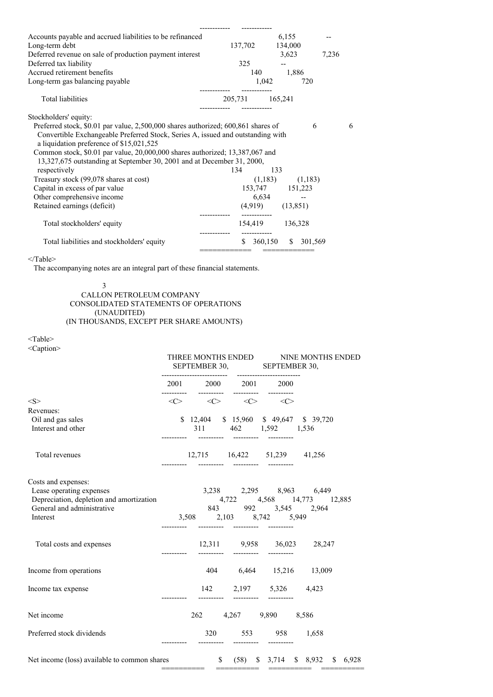| Accounts payable and accrued liabilities to be refinanced                         |                 | 6,155                 |                          |   |
|-----------------------------------------------------------------------------------|-----------------|-----------------------|--------------------------|---|
| Long-term debt                                                                    | 137,702 134,000 |                       |                          |   |
| Deferred revenue on sale of production payment interest                           |                 | 3,623                 | 7,236                    |   |
| Deferred tax liability                                                            | 325             |                       |                          |   |
| Accrued retirement benefits                                                       |                 | 140 1,886             |                          |   |
| Long-term gas balancing payable                                                   | 1,042           |                       | 720                      |   |
|                                                                                   |                 |                       |                          |   |
| <b>Total liabilities</b>                                                          | 205,731 165,241 |                       |                          |   |
|                                                                                   |                 |                       |                          |   |
| Stockholders' equity:                                                             |                 |                       |                          |   |
| Preferred stock, \$0.01 par value, 2,500,000 shares authorized; 600,861 shares of |                 |                       | 6                        | 6 |
| Convertible Exchangeable Preferred Stock, Series A, issued and outstanding with   |                 |                       |                          |   |
| a liquidation preference of \$15,021,525                                          |                 |                       |                          |   |
| Common stock, \$0.01 par value, 20,000,000 shares authorized; 13,387,067 and      |                 |                       |                          |   |
| 13,327,675 outstanding at September 30, 2001 and at December 31, 2000,            |                 |                       |                          |   |
| respectively                                                                      | 134             | 133                   |                          |   |
| Treasury stock (99,078 shares at cost)                                            |                 | $(1,183)$ $(1,183)$   |                          |   |
| Capital in excess of par value                                                    |                 | 153,747 151,223       |                          |   |
| Other comprehensive income                                                        |                 | 6,634                 | $\overline{\phantom{a}}$ |   |
| Retained earnings (deficit)                                                       |                 | $(4,919)$ $(13,851)$  |                          |   |
|                                                                                   |                 |                       |                          |   |
| Total stockholders' equity                                                        |                 | 154,419 136,328       |                          |   |
|                                                                                   |                 |                       |                          |   |
| Total liabilities and stockholders' equity                                        |                 | \$ 360,150 \$ 301,569 |                          |   |
|                                                                                   |                 | ==========            |                          |   |

The accompanying notes are an integral part of these financial statements.

3 CALLON PETROLEUM COMPANY CONSOLIDATED STATEMENTS OF OPERATIONS (UNAUDITED) (IN THOUSANDS, EXCEPT PER SHARE AMOUNTS)

<Table>

<Caption>

|                                                                                                                                                                 |                                                                            |  |  | THREE MONTHS ENDED                | SEPTEMBER 30, SEPTEMBER 30,                                                                                   | NINE MONTHS ENDED |  |  |
|-----------------------------------------------------------------------------------------------------------------------------------------------------------------|----------------------------------------------------------------------------|--|--|-----------------------------------|---------------------------------------------------------------------------------------------------------------|-------------------|--|--|
|                                                                                                                                                                 | $2001 \qquad \quad 2000 \qquad \quad 2001 \qquad \quad 2000$<br>---------- |  |  |                                   |                                                                                                               |                   |  |  |
| < S >                                                                                                                                                           |                                                                            |  |  |                                   | $\langle C \rangle$ $\langle C \rangle$ $\langle C \rangle$ $\langle C \rangle$                               |                   |  |  |
| Revenues:                                                                                                                                                       |                                                                            |  |  |                                   |                                                                                                               |                   |  |  |
| Oil and gas sales                                                                                                                                               |                                                                            |  |  |                                   | \$12,404 \$15,960 \$49,647 \$39,720                                                                           |                   |  |  |
| Interest and other                                                                                                                                              |                                                                            |  |  | __________  __________  _________ | 311 462 1,592 1,536                                                                                           |                   |  |  |
| Total revenues                                                                                                                                                  |                                                                            |  |  |                                   | 12,715 16,422 51,239 41,256                                                                                   |                   |  |  |
| Costs and expenses:<br>Lease operating expenses<br>Depreciation, depletion and amortization 4,722 4,568 14,773 12,885<br>General and administrative<br>Interest |                                                                            |  |  |                                   | 3,238 2,295 8,963 6,449<br>843 992 3,545 2,964<br>3,508 2,103 8,742 5,949<br>----------  ---------  --------- |                   |  |  |
| Total costs and expenses                                                                                                                                        |                                                                            |  |  |                                   | 12,311 9,958 36,023 28,247                                                                                    |                   |  |  |
| Income from operations                                                                                                                                          |                                                                            |  |  |                                   | 404 6,464 15,216 13,009                                                                                       |                   |  |  |
| Income tax expense                                                                                                                                              |                                                                            |  |  | ----------         ----------     | 142 2,197 5,326 4,423                                                                                         |                   |  |  |
| Net income                                                                                                                                                      |                                                                            |  |  |                                   | 262 4,267 9,890 8,586                                                                                         |                   |  |  |
| Preferred stock dividends                                                                                                                                       |                                                                            |  |  | -----------                       | 320 553 958 1,658                                                                                             |                   |  |  |
| Net income (loss) available to common shares \$ (58) \, \$ 3,714 \, \$ 8,932 \, \$ 6,928                                                                        |                                                                            |  |  |                                   |                                                                                                               |                   |  |  |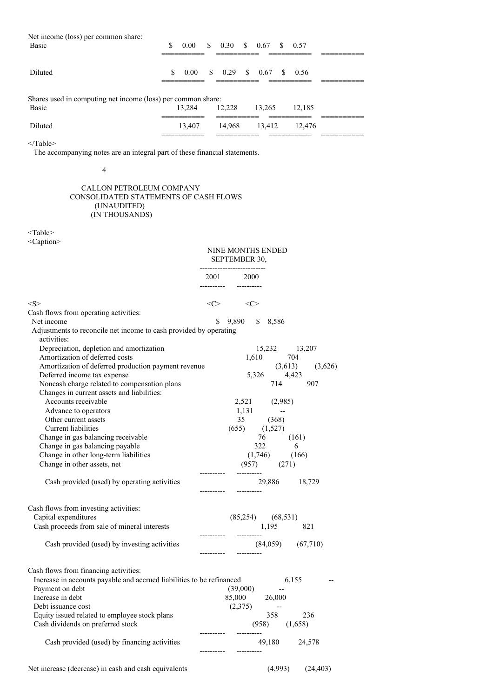| Net income (loss) per common share:<br><b>Basic</b>                                                        | \$. | 0.00<br>_______                                 | <sup>S</sup> | _____________        |  | $0.30 \quad $0.67$                          | \$  | 0.57                     |  |
|------------------------------------------------------------------------------------------------------------|-----|-------------------------------------------------|--------------|----------------------|--|---------------------------------------------|-----|--------------------------|--|
| Diluted                                                                                                    | S.  | $0.00^{\circ}$<br>_______                       |              |                      |  | $\frac{\text{S}}{\text{S}}$ 0.29 \ \ \ 0.67 | -SS | - 0.56                   |  |
| Shares used in computing net income (loss) per common share:<br><b>Basic</b><br>13.284<br>12.228<br>13.265 |     |                                                 |              |                      |  |                                             |     |                          |  |
|                                                                                                            |     | __________                                      |              | __________           |  |                                             |     | 12.185                   |  |
| Diluted                                                                                                    |     | 13,407<br>_________<br>________________________ |              | 14,968<br>__________ |  | 13.412                                      |     | 12,476<br>______________ |  |

The accompanying notes are an integral part of these financial statements.

4

## CALLON PETROLEUM COMPANY CONSOLIDATED STATEMENTS OF CASH FLOWS (UNAUDITED) (IN THOUSANDS)

<Table>

<Caption>

|                                                                                                                | NINE MONTHS ENDED<br>SEPTEMBER 30,<br>     |                       |         |         |
|----------------------------------------------------------------------------------------------------------------|--------------------------------------------|-----------------------|---------|---------|
|                                                                                                                | 2001 2000                                  |                       |         |         |
| <s></s>                                                                                                        | $\langle$ $\rangle$<br>$\langle C \rangle$ |                       |         |         |
| Cash flows from operating activities:                                                                          |                                            |                       |         |         |
| Net income<br>Adjustments to reconcile net income to cash provided by operating<br>activities:                 | \$<br>9,890                                | \$<br>8,586           |         |         |
| Depreciation, depletion and amortization                                                                       |                                            | 15,232 13,207         |         |         |
| Amortization of deferred costs                                                                                 | 1,610                                      |                       | 704     |         |
| Amortization of deferred production payment revenue                                                            |                                            |                       | (3,613) | (3,626) |
| Deferred income tax expense                                                                                    |                                            | 5,326                 | 4,423   |         |
| Noncash charge related to compensation plans                                                                   |                                            | 714                   |         | 907     |
| Changes in current assets and liabilities:                                                                     |                                            |                       |         |         |
| Accounts receivable                                                                                            |                                            | 2,521 (2,985)         |         |         |
| Advance to operators                                                                                           | 1,131                                      |                       |         |         |
| Other current assets                                                                                           |                                            | 35 (368)              |         |         |
| Current liabilities                                                                                            | $(655)$ $(1,527)$                          |                       |         |         |
| Change in gas balancing receivable                                                                             |                                            | 76                    | (161)   |         |
| Change in gas balancing payable                                                                                |                                            | 322                   | - 6     |         |
| Change in other long-term liabilities                                                                          |                                            | $(1,746)$ $(166)$     |         |         |
| Change in other assets, net                                                                                    |                                            | $(957)$ $(271)$       |         |         |
| Cash provided (used) by operating activities                                                                   |                                            | 29,886                |         | 18,729  |
| Cash flows from investing activities:                                                                          |                                            |                       |         |         |
| Capital expenditures                                                                                           | $(85,254)$ $(68,531)$                      |                       |         |         |
| Cash proceeds from sale of mineral interests                                                                   |                                            | 1,195                 |         | 821     |
|                                                                                                                |                                            |                       |         |         |
| Cash provided (used) by investing activities                                                                   |                                            | $(84,059)$ $(67,710)$ |         |         |
| Cash flows from financing activities:<br>Increase in accounts payable and accrued liabilities to be refinanced |                                            |                       | 6,155   |         |
| Payment on debt                                                                                                | (39,000)                                   |                       |         |         |
| Increase in debt                                                                                               | 85,000 26,000                              |                       |         |         |
| Debt issuance cost                                                                                             | (2,375)                                    | $\sim$                |         |         |
| Equity issued related to employee stock plans                                                                  |                                            | 358                   |         | 236     |
| Cash dividends on preferred stock                                                                              |                                            | $(958)$ $(1,658)$     |         |         |
| Cash provided (used) by financing activities                                                                   |                                            | 49,180                |         | 24,578  |
|                                                                                                                |                                            |                       |         |         |

# Net increase (decrease) in cash and cash equivalents (4,993) (24,403)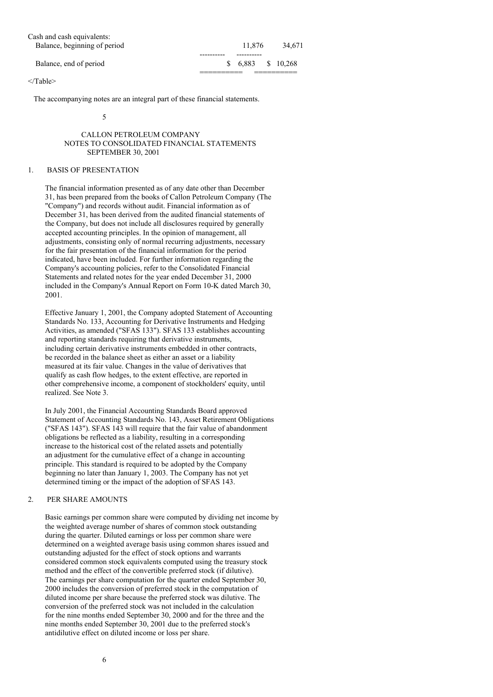| Cash and cash equivalents:   |          |           |
|------------------------------|----------|-----------|
| Balance, beginning of period | 11.876   | 34.671    |
|                              |          |           |
| Balance, end of period       | \$ 6.883 | \$ 10.268 |
|                              |          |           |

The accompanying notes are an integral part of these financial statements.

5

### CALLON PETROLEUM COMPANY NOTES TO CONSOLIDATED FINANCIAL STATEMENTS SEPTEMBER 30, 2001

## 1. BASIS OF PRESENTATION

The financial information presented as of any date other than December 31, has been prepared from the books of Callon Petroleum Company (The "Company") and records without audit. Financial information as of December 31, has been derived from the audited financial statements of the Company, but does not include all disclosures required by generally accepted accounting principles. In the opinion of management, all adjustments, consisting only of normal recurring adjustments, necessary for the fair presentation of the financial information for the period indicated, have been included. For further information regarding the Company's accounting policies, refer to the Consolidated Financial Statements and related notes for the year ended December 31, 2000 included in the Company's Annual Report on Form 10-K dated March 30, 2001.

Effective January 1, 2001, the Company adopted Statement of Accounting Standards No. 133, Accounting for Derivative Instruments and Hedging Activities, as amended ("SFAS 133"). SFAS 133 establishes accounting and reporting standards requiring that derivative instruments, including certain derivative instruments embedded in other contracts, be recorded in the balance sheet as either an asset or a liability measured at its fair value. Changes in the value of derivatives that qualify as cash flow hedges, to the extent effective, are reported in other comprehensive income, a component of stockholders' equity, until realized. See Note 3.

In July 2001, the Financial Accounting Standards Board approved Statement of Accounting Standards No. 143, Asset Retirement Obligations ("SFAS 143"). SFAS 143 will require that the fair value of abandonment obligations be reflected as a liability, resulting in a corresponding increase to the historical cost of the related assets and potentially an adjustment for the cumulative effect of a change in accounting principle. This standard is required to be adopted by the Company beginning no later than January 1, 2003. The Company has not yet determined timing or the impact of the adoption of SFAS 143.

### 2. PER SHARE AMOUNTS

Basic earnings per common share were computed by dividing net income by the weighted average number of shares of common stock outstanding during the quarter. Diluted earnings or loss per common share were determined on a weighted average basis using common shares issued and outstanding adjusted for the effect of stock options and warrants considered common stock equivalents computed using the treasury stock method and the effect of the convertible preferred stock (if dilutive). The earnings per share computation for the quarter ended September 30, 2000 includes the conversion of preferred stock in the computation of diluted income per share because the preferred stock was dilutive. The conversion of the preferred stock was not included in the calculation for the nine months ended September 30, 2000 and for the three and the nine months ended September 30, 2001 due to the preferred stock's antidilutive effect on diluted income or loss per share.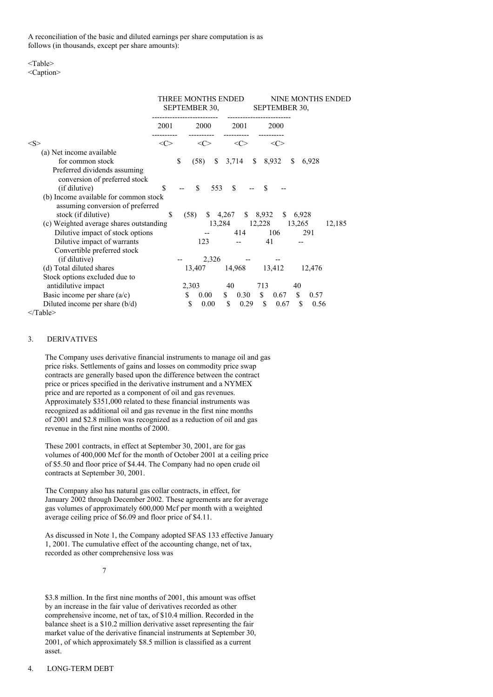A reconciliation of the basic and diluted earnings per share computation is as follows (in thousands, except per share amounts):

#### <Table>

<Caption>

|                                                                           |         |      | THREE MONTHS ENDED<br>SEPTEMBER 30, |     |                     | NINE MONTHS ENDED<br>SEPTEMBER 30, |               |            |        |  |
|---------------------------------------------------------------------------|---------|------|-------------------------------------|-----|---------------------|------------------------------------|---------------|------------|--------|--|
|                                                                           | 2001    |      | 2000                                |     | 2001                | 2000                               |               |            |        |  |
| <s></s>                                                                   | <c></c> |      | $<\!\!C\!\!>$                       |     | $<\infty$           |                                    | $<\infty$     |            |        |  |
| (a) Net income available                                                  |         |      |                                     |     |                     |                                    |               |            |        |  |
| for common stock                                                          |         | \$   | (58)                                | S.  | 3,714               | \$8,932                            | <sup>\$</sup> | 6,928      |        |  |
| Preferred dividends assuming<br>conversion of preferred stock             |         |      |                                     |     |                     |                                    |               |            |        |  |
| (if dilutive)                                                             | \$      |      | S.                                  | 553 | <sup>\$</sup>       | £.                                 |               |            |        |  |
| (b) Income available for common stock<br>assuming conversion of preferred |         |      |                                     |     |                     |                                    |               |            |        |  |
| stock (if dilutive)                                                       | \$      | (58) |                                     |     | $$4,267$ $$8,932$   |                                    | \$ 6,928      |            |        |  |
| (c) Weighted average shares outstanding                                   |         |      |                                     |     | 13,284 12,228       |                                    |               | 13,265     | 12,185 |  |
| Dilutive impact of stock options                                          |         |      |                                     |     | 414                 | 106                                |               | 291        |        |  |
| Dilutive impact of warrants                                               |         |      | 123                                 |     |                     | 41                                 |               |            |        |  |
| Convertible preferred stock                                               |         |      |                                     |     |                     |                                    |               |            |        |  |
| (if dilutive)                                                             |         |      | 2,326                               |     |                     |                                    |               |            |        |  |
| (d) Total diluted shares                                                  |         |      | 13,407                              |     | 14,968              | 13,412                             |               | 12,476     |        |  |
| Stock options excluded due to                                             |         |      |                                     |     |                     |                                    |               |            |        |  |
| antidilutive impact                                                       |         |      | 2,303                               |     | 40                  | 713                                |               | 40         |        |  |
| Basic income per share $(a/c)$                                            |         | S.   | $0.00\,$                            |     | $\frac{\ }{5}$ 0.30 | \$                                 | 0.67          | \$<br>0.57 |        |  |
| Diluted income per share $(b/d)$                                          |         | S    | 0.00                                |     | \$<br>0.29          | \$                                 | 0.67          | \$<br>0.56 |        |  |
| $<$ Table $>$                                                             |         |      |                                     |     |                     |                                    |               |            |        |  |

## 3. DERIVATIVES

The Company uses derivative financial instruments to manage oil and gas price risks. Settlements of gains and losses on commodity price swap contracts are generally based upon the difference between the contract price or prices specified in the derivative instrument and a NYMEX price and are reported as a component of oil and gas revenues. Approximately \$351,000 related to these financial instruments was recognized as additional oil and gas revenue in the first nine months of 2001 and \$2.8 million was recognized as a reduction of oil and gas revenue in the first nine months of 2000.

These 2001 contracts, in effect at September 30, 2001, are for gas volumes of 400,000 Mcf for the month of October 2001 at a ceiling price of \$5.50 and floor price of \$4.44. The Company had no open crude oil contracts at September 30, 2001.

The Company also has natural gas collar contracts, in effect, for January 2002 through December 2002. These agreements are for average gas volumes of approximately 600,000 Mcf per month with a weighted average ceiling price of \$6.09 and floor price of \$4.11.

As discussed in Note 1, the Company adopted SFAS 133 effective January 1, 2001. The cumulative effect of the accounting change, net of tax, recorded as other comprehensive loss was

7

\$3.8 million. In the first nine months of 2001, this amount was offset by an increase in the fair value of derivatives recorded as other comprehensive income, net of tax, of \$10.4 million. Recorded in the balance sheet is a \$10.2 million derivative asset representing the fair market value of the derivative financial instruments at September 30, 2001, of which approximately \$8.5 million is classified as a current asset.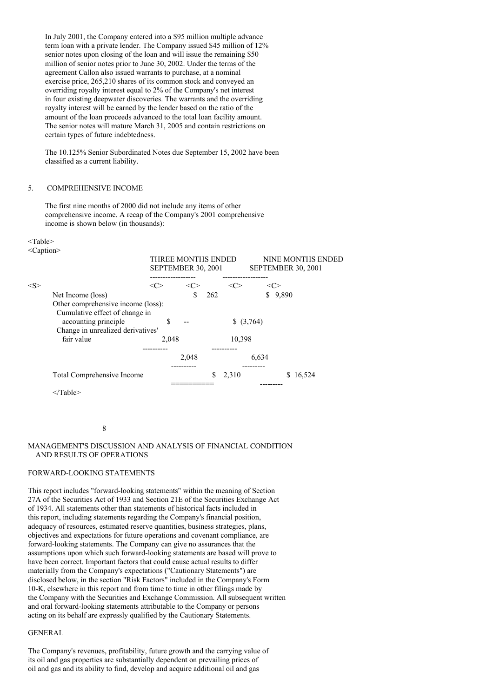In July 2001, the Company entered into a \$95 million multiple advance term loan with a private lender. The Company issued \$45 million of 12% senior notes upon closing of the loan and will issue the remaining \$50 million of senior notes prior to June 30, 2002. Under the terms of the agreement Callon also issued warrants to purchase, at a nominal exercise price, 265,210 shares of its common stock and conveyed an overriding royalty interest equal to 2% of the Company's net interest in four existing deepwater discoveries. The warrants and the overriding royalty interest will be earned by the lender based on the ratio of the amount of the loan proceeds advanced to the total loan facility amount. The senior notes will mature March 31, 2005 and contain restrictions on certain types of future indebtedness.

The 10.125% Senior Subordinated Notes due September 15, 2002 have been classified as a current liability.

### 5. COMPREHENSIVE INCOME

The first nine months of 2000 did not include any items of other comprehensive income. A recap of the Company's 2001 comprehensive income is shown below (in thousands):

#### <Table>

<Caption>

|                                                                                             | THREE MONTHS ENDED<br><b>SEPTEMBER 30, 2001</b><br>--------- |       |     |        | NINE MONTHS ENDED<br>SEPTEMBER 30, 2001 |          |  |  |  |
|---------------------------------------------------------------------------------------------|--------------------------------------------------------------|-------|-----|--------|-----------------------------------------|----------|--|--|--|
| $<\leq>$                                                                                    | <( ``                                                        |       |     |        | <( '>                                   |          |  |  |  |
| Net Income (loss)                                                                           |                                                              | \$    | 262 |        | S.                                      | 9,890    |  |  |  |
| Other comprehensive income (loss):                                                          |                                                              |       |     |        |                                         |          |  |  |  |
| Cumulative effect of change in<br>accounting principle<br>Change in unrealized derivatives' | S                                                            |       |     |        | \$ (3,764)                              |          |  |  |  |
| fair value                                                                                  | 2.048                                                        |       |     | 10,398 |                                         |          |  |  |  |
|                                                                                             |                                                              |       |     |        |                                         |          |  |  |  |
|                                                                                             |                                                              | 2,048 |     |        | 6,634                                   |          |  |  |  |
|                                                                                             |                                                              |       |     |        |                                         |          |  |  |  |
| <b>Total Comprehensive Income</b>                                                           |                                                              |       |     | 2,310  |                                         | \$16,524 |  |  |  |
|                                                                                             |                                                              |       |     |        |                                         |          |  |  |  |

</Table>

8

## MANAGEMENT'S DISCUSSION AND ANALYSIS OF FINANCIAL CONDITION AND RESULTS OF OPERATIONS

### FORWARD-LOOKING STATEMENTS

This report includes "forward-looking statements" within the meaning of Section 27A of the Securities Act of 1933 and Section 21E of the Securities Exchange Act of 1934. All statements other than statements of historical facts included in this report, including statements regarding the Company's financial position, adequacy of resources, estimated reserve quantities, business strategies, plans, objectives and expectations for future operations and covenant compliance, are forward-looking statements. The Company can give no assurances that the assumptions upon which such forward-looking statements are based will prove to have been correct. Important factors that could cause actual results to differ materially from the Company's expectations ("Cautionary Statements") are disclosed below, in the section "Risk Factors" included in the Company's Form 10-K, elsewhere in this report and from time to time in other filings made by the Company with the Securities and Exchange Commission. All subsequent written and oral forward-looking statements attributable to the Company or persons acting on its behalf are expressly qualified by the Cautionary Statements.

### **GENERAL**

The Company's revenues, profitability, future growth and the carrying value of its oil and gas properties are substantially dependent on prevailing prices of oil and gas and its ability to find, develop and acquire additional oil and gas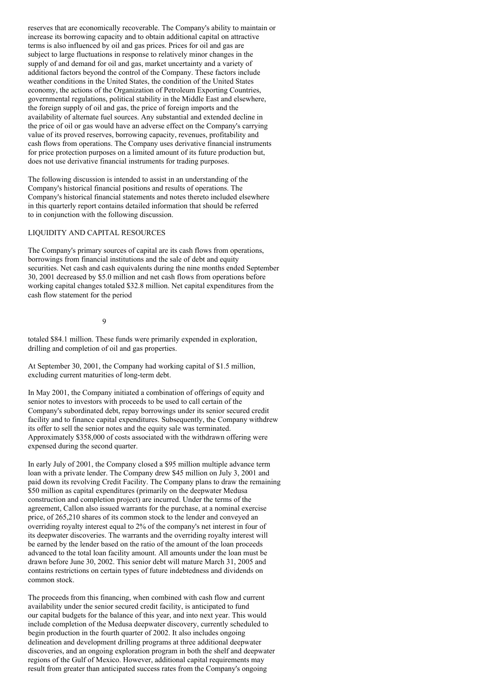reserves that are economically recoverable. The Company's ability to maintain or increase its borrowing capacity and to obtain additional capital on attractive terms is also influenced by oil and gas prices. Prices for oil and gas are subject to large fluctuations in response to relatively minor changes in the supply of and demand for oil and gas, market uncertainty and a variety of additional factors beyond the control of the Company. These factors include weather conditions in the United States, the condition of the United States economy, the actions of the Organization of Petroleum Exporting Countries, governmental regulations, political stability in the Middle East and elsewhere, the foreign supply of oil and gas, the price of foreign imports and the availability of alternate fuel sources. Any substantial and extended decline in the price of oil or gas would have an adverse effect on the Company's carrying value of its proved reserves, borrowing capacity, revenues, profitability and cash flows from operations. The Company uses derivative financial instruments for price protection purposes on a limited amount of its future production but, does not use derivative financial instruments for trading purposes.

The following discussion is intended to assist in an understanding of the Company's historical financial positions and results of operations. The Company's historical financial statements and notes thereto included elsewhere in this quarterly report contains detailed information that should be referred to in conjunction with the following discussion.

## LIQUIDITY AND CAPITAL RESOURCES

The Company's primary sources of capital are its cash flows from operations, borrowings from financial institutions and the sale of debt and equity securities. Net cash and cash equivalents during the nine months ended September 30, 2001 decreased by \$5.0 million and net cash flows from operations before working capital changes totaled \$32.8 million. Net capital expenditures from the cash flow statement for the period

9

totaled \$84.1 million. These funds were primarily expended in exploration, drilling and completion of oil and gas properties.

At September 30, 2001, the Company had working capital of \$1.5 million, excluding current maturities of long-term debt.

In May 2001, the Company initiated a combination of offerings of equity and senior notes to investors with proceeds to be used to call certain of the Company's subordinated debt, repay borrowings under its senior secured credit facility and to finance capital expenditures. Subsequently, the Company withdrew its offer to sell the senior notes and the equity sale was terminated. Approximately \$358,000 of costs associated with the withdrawn offering were expensed during the second quarter.

In early July of 2001, the Company closed a \$95 million multiple advance term loan with a private lender. The Company drew \$45 million on July 3, 2001 and paid down its revolving Credit Facility. The Company plans to draw the remaining \$50 million as capital expenditures (primarily on the deepwater Medusa construction and completion project) are incurred. Under the terms of the agreement, Callon also issued warrants for the purchase, at a nominal exercise price, of 265,210 shares of its common stock to the lender and conveyed an overriding royalty interest equal to 2% of the company's net interest in four of its deepwater discoveries. The warrants and the overriding royalty interest will be earned by the lender based on the ratio of the amount of the loan proceeds advanced to the total loan facility amount. All amounts under the loan must be drawn before June 30, 2002. This senior debt will mature March 31, 2005 and contains restrictions on certain types of future indebtedness and dividends on common stock.

The proceeds from this financing, when combined with cash flow and current availability under the senior secured credit facility, is anticipated to fund our capital budgets for the balance of this year, and into next year. This would include completion of the Medusa deepwater discovery, currently scheduled to begin production in the fourth quarter of 2002. It also includes ongoing delineation and development drilling programs at three additional deepwater discoveries, and an ongoing exploration program in both the shelf and deepwater regions of the Gulf of Mexico. However, additional capital requirements may result from greater than anticipated success rates from the Company's ongoing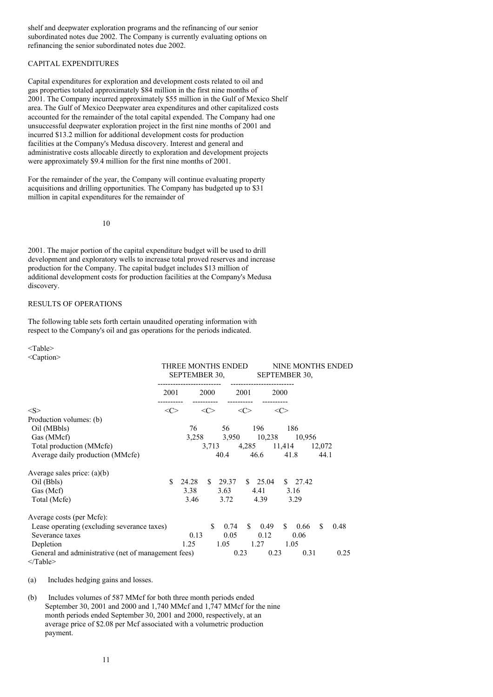shelf and deepwater exploration programs and the refinancing of our senior subordinated notes due 2002. The Company is currently evaluating options on refinancing the senior subordinated notes due 2002.

## CAPITAL EXPENDITURES

Capital expenditures for exploration and development costs related to oil and gas properties totaled approximately \$84 million in the first nine months of 2001. The Company incurred approximately \$55 million in the Gulf of Mexico Shelf area. The Gulf of Mexico Deepwater area expenditures and other capitalized costs accounted for the remainder of the total capital expended. The Company had one unsuccessful deepwater exploration project in the first nine months of 2001 and incurred \$13.2 million for additional development costs for production facilities at the Company's Medusa discovery. Interest and general and administrative costs allocable directly to exploration and development projects were approximately \$9.4 million for the first nine months of 2001.

For the remainder of the year, the Company will continue evaluating property acquisitions and drilling opportunities. The Company has budgeted up to \$31 million in capital expenditures for the remainder of

10

2001. The major portion of the capital expenditure budget will be used to drill development and exploratory wells to increase total proved reserves and increase production for the Company. The capital budget includes \$13 million of additional development costs for production facilities at the Company's Medusa discovery.

## RESULTS OF OPERATIONS

The following table sets forth certain unaudited operating information with respect to the Company's oil and gas operations for the periods indicated.

#### <Table>

<Caption>

|                                                                      | THREE MONTHS ENDED<br>SEPTEMBER 30,<br>---------------------- |                           |      |                    |      |                   | <b>NINE MONTHS ENDED</b><br>SEPTEMBER 30,<br>------------------------- |                    |        |      |
|----------------------------------------------------------------------|---------------------------------------------------------------|---------------------------|------|--------------------|------|-------------------|------------------------------------------------------------------------|--------------------|--------|------|
|                                                                      | 2001                                                          |                           | 2000 |                    | 2001 |                   | <b>2000</b>                                                            |                    |        |      |
| < S >                                                                |                                                               | -----------<br><<><br><<> |      |                    | <<>  |                   | <<>                                                                    |                    |        |      |
| Production volumes: (b)                                              |                                                               |                           |      |                    |      |                   |                                                                        |                    |        |      |
| Oil (MBbls)                                                          |                                                               | 76                        |      | 56                 |      | 196               | 186                                                                    |                    |        |      |
| Gas (MMcf)                                                           |                                                               |                           |      | 3,258 3,950 10,238 |      |                   |                                                                        | 10,956             |        |      |
| Total production (MMcfe)                                             |                                                               |                           |      | 3,713              |      | 4,285 11,414      |                                                                        |                    | 12,072 |      |
| Average daily production (MMcfe)                                     |                                                               |                           |      | 40.4               |      | 46.6              | 41.8                                                                   |                    | 44.1   |      |
| Average sales price: $(a)(b)$                                        |                                                               |                           |      |                    |      |                   |                                                                        |                    |        |      |
| Oil (Bbls)                                                           | S.                                                            | 24.28                     |      | $\frac{\$}{29.37}$ |      | \$25.04           |                                                                        | $\frac{\$}{27.42}$ |        |      |
| Gas (Mcf)                                                            |                                                               | 3.38                      |      | 3.63               |      | 4.41              | 3.16                                                                   |                    |        |      |
| Total (Mcfe)                                                         |                                                               | 3.46                      |      | 3.72               |      | 4.39              | 3.29                                                                   |                    |        |      |
| Average costs (per Mcfe):                                            |                                                               |                           |      |                    |      |                   |                                                                        |                    |        |      |
| Lease operating (excluding severance taxes)                          |                                                               |                           | \$.  | 0.74               |      | $\frac{\$}{0.49}$ | S.                                                                     | 0.66               | \$.    | 0.48 |
| Severance taxes                                                      |                                                               | 0.13                      |      | 0.05               |      | 0.12              |                                                                        | 0.06               |        |      |
| Depletion                                                            |                                                               | 1.25                      |      | 1.05               |      | 1.27              | 1.05                                                                   |                    |        |      |
| General and administrative (net of management fees)<br>$\leq$ Table> |                                                               |                           |      |                    | 0.23 | 0.23              |                                                                        | 0.31               |        | 0.25 |

(a) Includes hedging gains and losses.

(b) Includes volumes of 587 MMcf for both three month periods ended September 30, 2001 and 2000 and 1,740 MMcf and 1,747 MMcf for the nine month periods ended September 30, 2001 and 2000, respectively, at an average price of \$2.08 per Mcf associated with a volumetric production payment.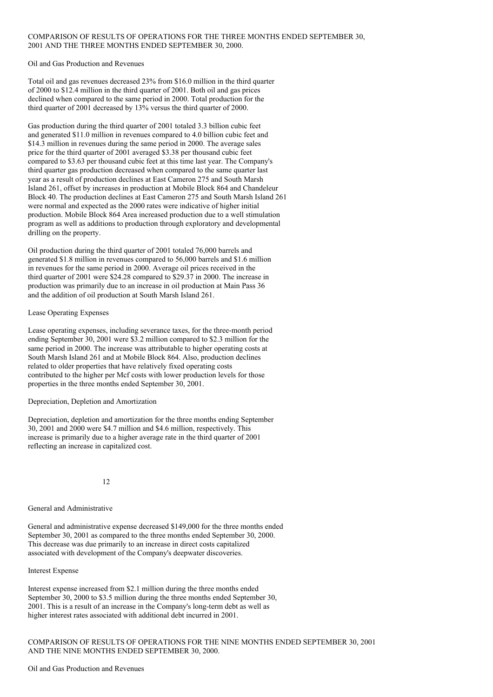## COMPARISON OF RESULTS OF OPERATIONS FOR THE THREE MONTHS ENDED SEPTEMBER 30, 2001 AND THE THREE MONTHS ENDED SEPTEMBER 30, 2000.

Oil and Gas Production and Revenues

Total oil and gas revenues decreased 23% from \$16.0 million in the third quarter of 2000 to \$12.4 million in the third quarter of 2001. Both oil and gas prices declined when compared to the same period in 2000. Total production for the third quarter of 2001 decreased by  $13\%$  versus the third quarter of 2000.

Gas production during the third quarter of 2001 totaled 3.3 billion cubic feet and generated \$11.0 million in revenues compared to 4.0 billion cubic feet and \$14.3 million in revenues during the same period in 2000. The average sales price for the third quarter of 2001 averaged \$3.38 per thousand cubic feet compared to \$3.63 per thousand cubic feet at this time last year. The Company's third quarter gas production decreased when compared to the same quarter last year as a result of production declines at East Cameron 275 and South Marsh Island 261, offset by increases in production at Mobile Block 864 and Chandeleur Block 40. The production declines at East Cameron 275 and South Marsh Island 261 were normal and expected as the 2000 rates were indicative of higher initial production. Mobile Block 864 Area increased production due to a well stimulation program as well as additions to production through exploratory and developmental drilling on the property.

Oil production during the third quarter of 2001 totaled 76,000 barrels and generated \$1.8 million in revenues compared to 56,000 barrels and \$1.6 million in revenues for the same period in 2000. Average oil prices received in the third quarter of 2001 were \$24.28 compared to \$29.37 in 2000. The increase in production was primarily due to an increase in oil production at Main Pass 36 and the addition of oil production at South Marsh Island 261.

### Lease Operating Expenses

Lease operating expenses, including severance taxes, for the three-month period ending September 30, 2001 were \$3.2 million compared to \$2.3 million for the same period in 2000. The increase was attributable to higher operating costs at South Marsh Island 261 and at Mobile Block 864. Also, production declines related to older properties that have relatively fixed operating costs contributed to the higher per Mcf costs with lower production levels for those properties in the three months ended September 30, 2001.

Depreciation, Depletion and Amortization

Depreciation, depletion and amortization for the three months ending September 30, 2001 and 2000 were \$4.7 million and \$4.6 million, respectively. This increase is primarily due to a higher average rate in the third quarter of 2001 reflecting an increase in capitalized cost.

12

## General and Administrative

General and administrative expense decreased \$149,000 for the three months ended September 30, 2001 as compared to the three months ended September 30, 2000. This decrease was due primarily to an increase in direct costs capitalized associated with development of the Company's deepwater discoveries.

## Interest Expense

Interest expense increased from \$2.1 million during the three months ended September 30, 2000 to \$3.5 million during the three months ended September 30, 2001. This is a result of an increase in the Company's long-term debt as well as higher interest rates associated with additional debt incurred in 2001.

COMPARISON OF RESULTS OF OPERATIONS FOR THE NINE MONTHS ENDED SEPTEMBER 30, 2001 AND THE NINE MONTHS ENDED SEPTEMBER 30, 2000.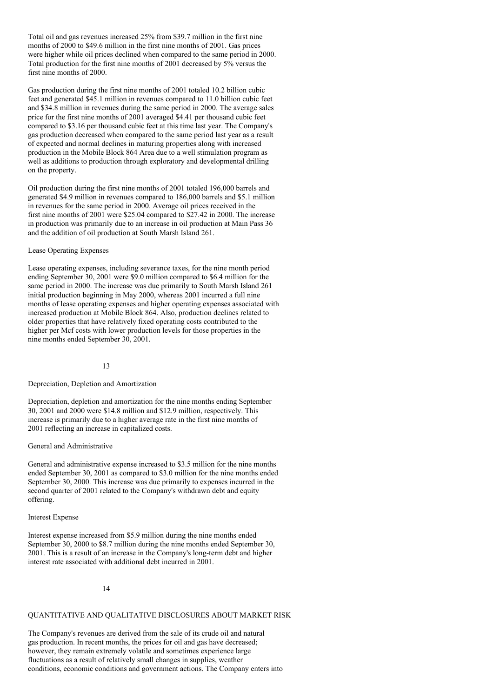Total oil and gas revenues increased 25% from \$39.7 million in the first nine months of 2000 to \$49.6 million in the first nine months of 2001. Gas prices were higher while oil prices declined when compared to the same period in 2000. Total production for the first nine months of 2001 decreased by 5% versus the first nine months of 2000.

Gas production during the first nine months of 2001 totaled 10.2 billion cubic feet and generated \$45.1 million in revenues compared to 11.0 billion cubic feet and \$34.8 million in revenues during the same period in 2000. The average sales price for the first nine months of 2001 averaged \$4.41 per thousand cubic feet compared to \$3.16 per thousand cubic feet at this time last year. The Company's gas production decreased when compared to the same period last year as a result of expected and normal declines in maturing properties along with increased production in the Mobile Block 864 Area due to a well stimulation program as well as additions to production through exploratory and developmental drilling on the property.

Oil production during the first nine months of 2001 totaled 196,000 barrels and generated \$4.9 million in revenues compared to 186,000 barrels and \$5.1 million in revenues for the same period in 2000. Average oil prices received in the first nine months of 2001 were \$25.04 compared to \$27.42 in 2000. The increase in production was primarily due to an increase in oil production at Main Pass 36 and the addition of oil production at South Marsh Island 261.

### Lease Operating Expenses

Lease operating expenses, including severance taxes, for the nine month period ending September 30, 2001 were \$9.0 million compared to \$6.4 million for the same period in 2000. The increase was due primarily to South Marsh Island 261 initial production beginning in May 2000, whereas 2001 incurred a full nine months of lease operating expenses and higher operating expenses associated with increased production at Mobile Block 864. Also, production declines related to older properties that have relatively fixed operating costs contributed to the higher per Mcf costs with lower production levels for those properties in the nine months ended September 30, 2001.

#### 13

## Depreciation, Depletion and Amortization

Depreciation, depletion and amortization for the nine months ending September 30, 2001 and 2000 were \$14.8 million and \$12.9 million, respectively. This increase is primarily due to a higher average rate in the first nine months of 2001 reflecting an increase in capitalized costs.

## General and Administrative

General and administrative expense increased to \$3.5 million for the nine months ended September 30, 2001 as compared to \$3.0 million for the nine months ended September 30, 2000. This increase was due primarily to expenses incurred in the second quarter of 2001 related to the Company's withdrawn debt and equity offering.

#### Interest Expense

Interest expense increased from \$5.9 million during the nine months ended September 30, 2000 to \$8.7 million during the nine months ended September 30, 2001. This is a result of an increase in the Company's long-term debt and higher interest rate associated with additional debt incurred in 2001.

## 14

## QUANTITATIVE AND QUALITATIVE DISCLOSURES ABOUT MARKET RISK

The Company's revenues are derived from the sale of its crude oil and natural gas production. In recent months, the prices for oil and gas have decreased; however, they remain extremely volatile and sometimes experience large fluctuations as a result of relatively small changes in supplies, weather conditions, economic conditions and government actions. The Company enters into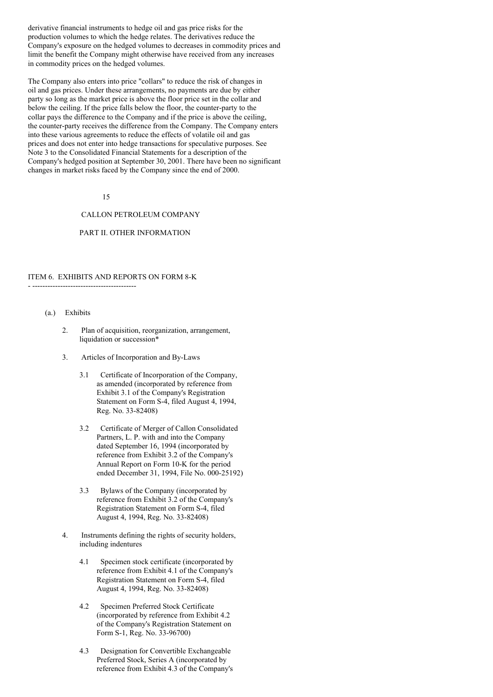derivative financial instruments to hedge oil and gas price risks for the production volumes to which the hedge relates. The derivatives reduce the Company's exposure on the hedged volumes to decreases in commodity prices and limit the benefit the Company might otherwise have received from any increases in commodity prices on the hedged volumes.

The Company also enters into price "collars" to reduce the risk of changes in oil and gas prices. Under these arrangements, no payments are due by either party so long as the market price is above the floor price set in the collar and below the ceiling. If the price falls below the floor, the counter-party to the collar pays the difference to the Company and if the price is above the ceiling, the counter-party receives the difference from the Company. The Company enters into these various agreements to reduce the effects of volatile oil and gas prices and does not enter into hedge transactions for speculative purposes. See Note 3 to the Consolidated Financial Statements for a description of the Company's hedged position at September 30, 2001. There have been no significant changes in market risks faced by the Company since the end of 2000.

#### 15

## CALLON PETROLEUM COMPANY

## PART II. OTHER INFORMATION

## ITEM 6. EXHIBITS AND REPORTS ON FORM 8-K

(a.) Exhibits

- -----------------------------------------

- 2. Plan of acquisition, reorganization, arrangement, liquidation or succession\*
- 3. Articles of Incorporation and By-Laws
	- 3.1 Certificate of Incorporation of the Company, as amended (incorporated by reference from Exhibit 3.1 of the Company's Registration Statement on Form S-4, filed August 4, 1994, Reg. No. 33-82408)
	- 3.2 Certificate of Merger of Callon Consolidated Partners, L. P. with and into the Company dated September 16, 1994 (incorporated by reference from Exhibit 3.2 of the Company's Annual Report on Form 10-K for the period ended December 31, 1994, File No. 000-25192)
	- 3.3 Bylaws of the Company (incorporated by reference from Exhibit 3.2 of the Company's Registration Statement on Form S-4, filed August 4, 1994, Reg. No. 33-82408)
- 4. Instruments defining the rights of security holders, including indentures
	- 4.1 Specimen stock certificate (incorporated by reference from Exhibit 4.1 of the Company's Registration Statement on Form S-4, filed August 4, 1994, Reg. No. 33-82408)
	- 4.2 Specimen Preferred Stock Certificate (incorporated by reference from Exhibit 4.2 of the Company's Registration Statement on Form S-1, Reg. No. 33-96700)
	- 4.3 Designation for Convertible Exchangeable Preferred Stock, Series A (incorporated by reference from Exhibit 4.3 of the Company's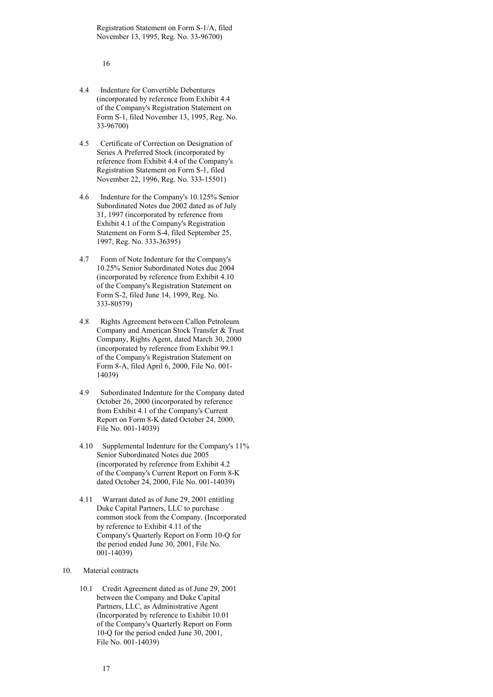Registration Statement on Form S-1/A, filed November 13, 1995, Reg. No. 33-96700)

16

- 4.4 Indenture for Convertible Debentures (incorporated by reference from Exhibit 4.4 of the Company's Registration Statement on Form S-1, filed November 13, 1995, Reg. No. 33-96700)
- 4.5 Certificate of Correction on Designation of Series A Preferred Stock (incorporated by reference from Exhibit 4.4 of the Company's Registration Statement on Form S-1, filed November 22, 1996, Reg. No. 333-15501)
- 4.6 Indenture for the Company's 10.125% Senior Subordinated Notes due 2002 dated as of July 31, 1997 (incorporated by reference from Exhibit 4.1 of the Company's Registration Statement on Form S-4, filed September 25, 1997, Reg. No. 333-36395)
- 4.7 Form of Note Indenture for the Company's 10.25% Senior Subordinated Notes due 2004 (incorporated by reference from Exhibit 4.10 of the Company's Registration Statement on Form S-2, filed June 14, 1999, Reg. No. 333-80579)
- 4.8 Rights Agreement between Callon Petroleum Company and American Stock Transfer & Trust Company, Rights Agent, dated March 30, 2000 (incorporated by reference from Exhibit 99.1 of the Company's Registration Statement on Form 8-A, filed April 6, 2000, File No. 001- 14039)
- 4.9 Subordinated Indenture for the Company dated October 26, 2000 (incorporated by reference from Exhibit 4.1 of the Company's Current Report on Form 8-K dated October 24, 2000, File No. 001-14039)
- 4.10 Supplemental Indenture for the Company's 11% Senior Subordinated Notes due 2005 (incorporated by reference from Exhibit 4.2 of the Company's Current Report on Form 8-K dated October 24, 2000, File No. 001-14039)
- 4.11 Warrant dated as of June 29, 2001 entitling Duke Capital Partners, LLC to purchase common stock from the Company. (Incorporated by reference to Exhibit 4.11 of the Company's Quarterly Report on Form 10-Q for the period ended June 30, 2001, File No. 001-14039)
- 10. Material contracts
	- 10.1 Credit Agreement dated as of June 29, 2001 between the Company and Duke Capital Partners, LLC, as Administrative Agent (Incorporated by reference to Exhibit 10.01 of the Company's Quarterly Report on Form 10-Q for the period ended June 30, 2001, File No. 001-14039)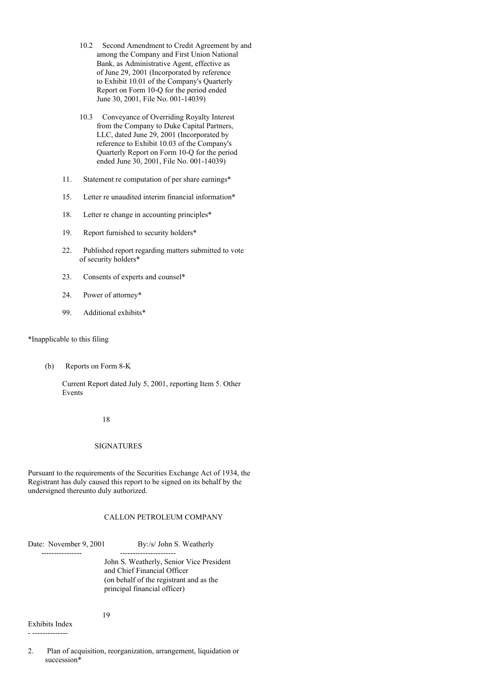- 10.2 Second Amendment to Credit Agreement by and among the Company and First Union National Bank, as Administrative Agent, effective as of June 29, 2001 (Incorporated by reference to Exhibit 10.01 of the Company's Quarterly Report on Form 10-Q for the period ended June 30, 2001, File No. 001-14039)
- 10.3 Conveyance of Overriding Royalty Interest from the Company to Duke Capital Partners, LLC, dated June 29, 2001 (Incorporated by reference to Exhibit 10.03 of the Company's Quarterly Report on Form 10-Q for the period ended June 30, 2001, File No. 001-14039)
- 11. Statement re computation of per share earnings\*
- 15. Letter re unaudited interim financial information\*
- 18. Letter re change in accounting principles\*
- 19. Report furnished to security holders\*
- 22. Published report regarding matters submitted to vote of security holders\*
- 23. Consents of experts and counsel\*
- 24. Power of attorney\*
- 99. Additional exhibits\*

## \*Inapplicable to this filing

(b) Reports on Form 8-K

Current Report dated July 5, 2001, reporting Item 5. Other Events

#### 18

### SIGNATURES

Pursuant to the requirements of the Securities Exchange Act of 1934, the Registrant has duly caused this report to be signed on its behalf by the undersigned thereunto duly authorized.

## CALLON PETROLEUM COMPANY

Date: November 9, 2001 By:/s/ John S. Weatherly

---------------- ---------------------- John S. Weatherly, Senior Vice President and Chief Financial Officer (on behalf of the registrant and as the principal financial officer)

Exhibits Index - --------------

2. Plan of acquisition, reorganization, arrangement, liquidation or succession\*

19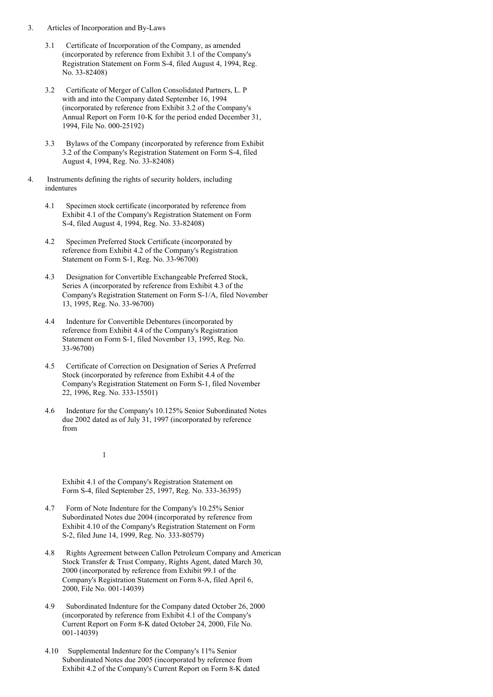- 3. Articles of Incorporation and By-Laws
	- 3.1 Certificate of Incorporation of the Company, as amended (incorporated by reference from Exhibit 3.1 of the Company's Registration Statement on Form S-4, filed August 4, 1994, Reg. No. 33-82408)
	- 3.2 Certificate of Merger of Callon Consolidated Partners, L. P with and into the Company dated September 16, 1994 (incorporated by reference from Exhibit 3.2 of the Company's Annual Report on Form 10-K for the period ended December 31, 1994, File No. 000-25192)
	- 3.3 Bylaws of the Company (incorporated by reference from Exhibit 3.2 of the Company's Registration Statement on Form S-4, filed August 4, 1994, Reg. No. 33-82408)
- 4. Instruments defining the rights of security holders, including indentures
	- 4.1 Specimen stock certificate (incorporated by reference from Exhibit 4.1 of the Company's Registration Statement on Form S-4, filed August 4, 1994, Reg. No. 33-82408)
	- 4.2 Specimen Preferred Stock Certificate (incorporated by reference from Exhibit 4.2 of the Company's Registration Statement on Form S-1, Reg. No. 33-96700)
	- 4.3 Designation for Convertible Exchangeable Preferred Stock, Series A (incorporated by reference from Exhibit 4.3 of the Company's Registration Statement on Form S-1/A, filed November 13, 1995, Reg. No. 33-96700)
	- 4.4 Indenture for Convertible Debentures (incorporated by reference from Exhibit 4.4 of the Company's Registration Statement on Form S-1, filed November 13, 1995, Reg. No. 33-96700)
	- 4.5 Certificate of Correction on Designation of Series A Preferred Stock (incorporated by reference from Exhibit 4.4 of the Company's Registration Statement on Form S-1, filed November 22, 1996, Reg. No. 333-15501)
	- 4.6 Indenture for the Company's 10.125% Senior Subordinated Notes due 2002 dated as of July 31, 1997 (incorporated by reference from
		- 1

Exhibit 4.1 of the Company's Registration Statement on Form S-4, filed September 25, 1997, Reg. No. 333-36395)

- 4.7 Form of Note Indenture for the Company's 10.25% Senior Subordinated Notes due 2004 (incorporated by reference from Exhibit 4.10 of the Company's Registration Statement on Form S-2, filed June 14, 1999, Reg. No. 333-80579)
- 4.8 Rights Agreement between Callon Petroleum Company and American Stock Transfer & Trust Company, Rights Agent, dated March 30, 2000 (incorporated by reference from Exhibit 99.1 of the Company's Registration Statement on Form 8-A, filed April 6, 2000, File No. 001-14039)
- 4.9 Subordinated Indenture for the Company dated October 26, 2000 (incorporated by reference from Exhibit 4.1 of the Company's Current Report on Form 8-K dated October 24, 2000, File No. 001-14039)
- 4.10 Supplemental Indenture for the Company's 11% Senior Subordinated Notes due 2005 (incorporated by reference from Exhibit 4.2 of the Company's Current Report on Form 8-K dated